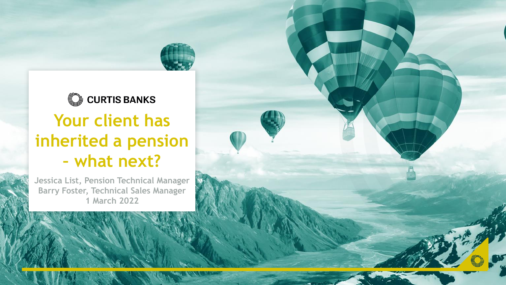# C CURTIS BANKS **Your client has inherited a pension – what next?**

**Jessica List, Pension Technical Manager Barry Foster, Technical Sales Manager 1 March 2022**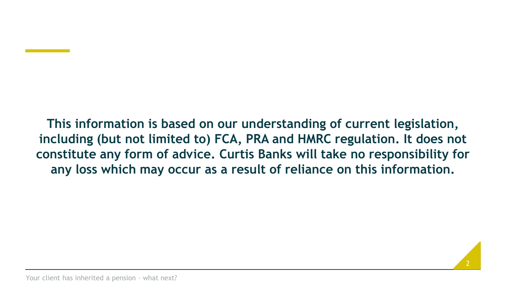**This information is based on our understanding of current legislation, including (but not limited to) FCA, PRA and HMRC regulation. It does not constitute any form of advice. Curtis Banks will take no responsibility for any loss which may occur as a result of reliance on this information.**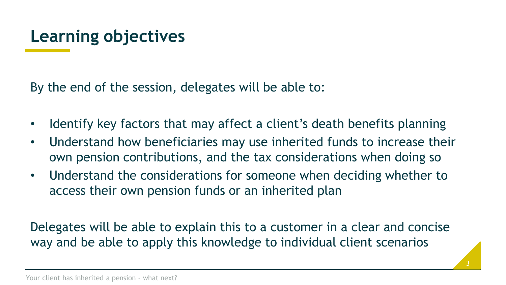## **Learning objectives**

By the end of the session, delegates will be able to:

- Identify key factors that may affect a client's death benefits planning
- Understand how beneficiaries may use inherited funds to increase their own pension contributions, and the tax considerations when doing so
- Understand the considerations for someone when deciding whether to access their own pension funds or an inherited plan

Delegates will be able to explain this to a customer in a clear and concise way and be able to apply this knowledge to individual client scenarios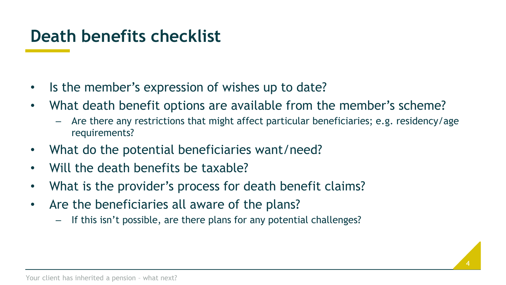## **Death benefits checklist**

- Is the member's expression of wishes up to date?
- What death benefit options are available from the member's scheme?
	- Are there any restrictions that might affect particular beneficiaries; e.g. residency/age requirements?
- What do the potential beneficiaries want/need?
- Will the death benefits be taxable?
- What is the provider's process for death benefit claims?
- Are the beneficiaries all aware of the plans?
	- If this isn't possible, are there plans for any potential challenges?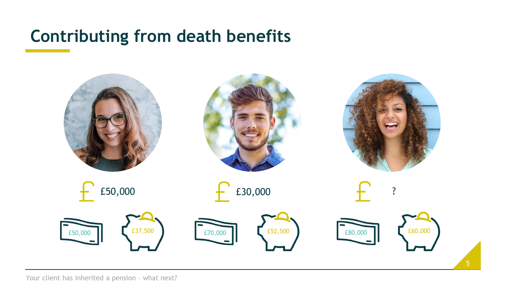

5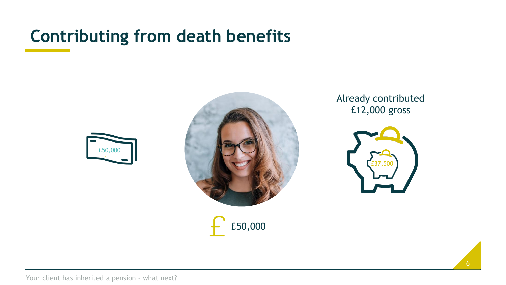





Already contributed £12,000 gross

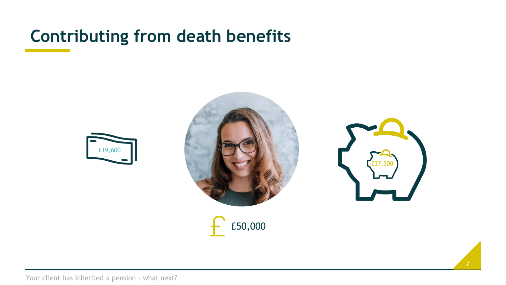





7

£50,000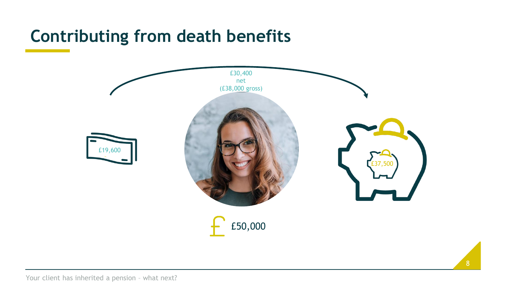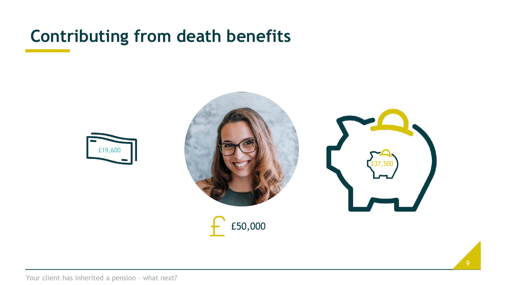



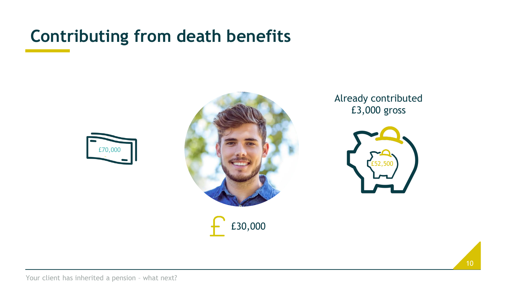



£30,000

Already contributed £3,000 gross

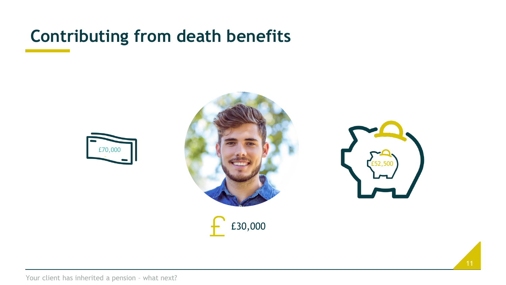



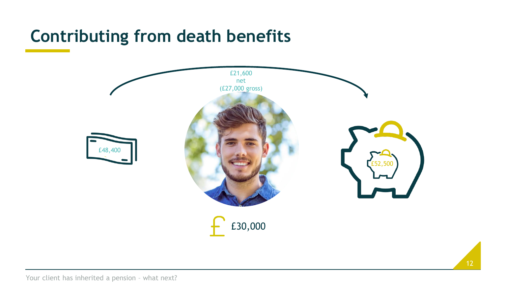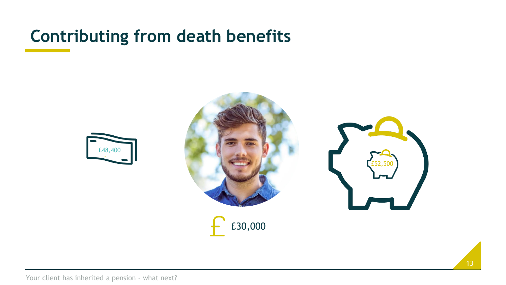



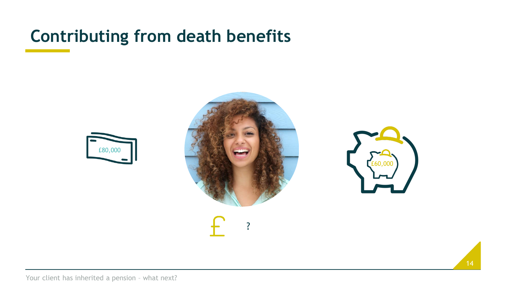



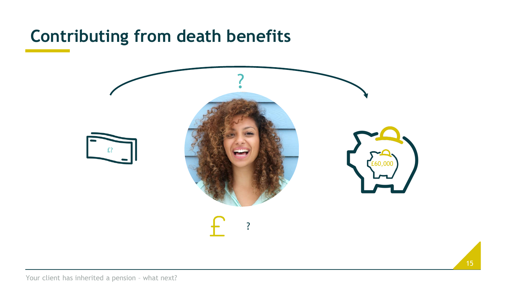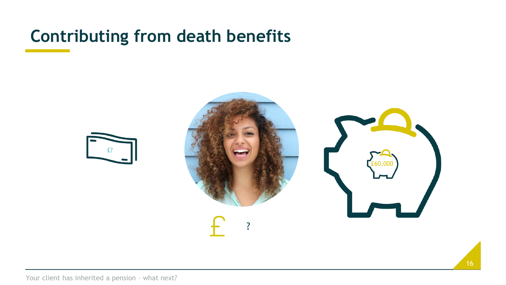



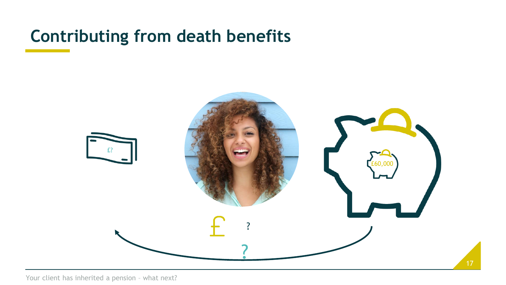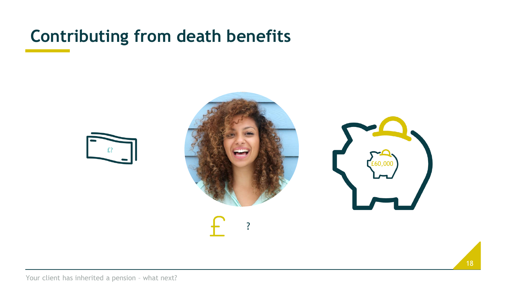



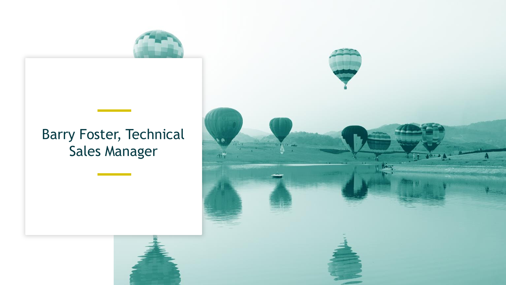

#### Barry Foster, Technical Sales Manager

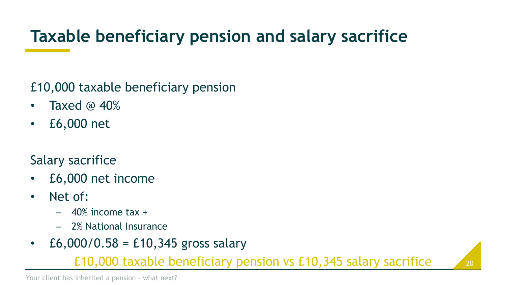## **Taxable beneficiary pension and salary sacrifice**

£10,000 taxable beneficiary pension

- Taxed @ 40%
- £6,000 net

#### Salary sacrifice

- £6,000 net income
- Net of:
	- $-$  40% income tax  $+$
	- 2% National Insurance
- $E_6,000/0.58 = E_10,345$  gross salary

£10,000 taxable beneficiary pension vs £10,345 salary sacrifice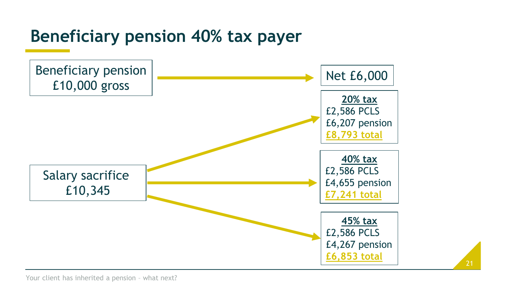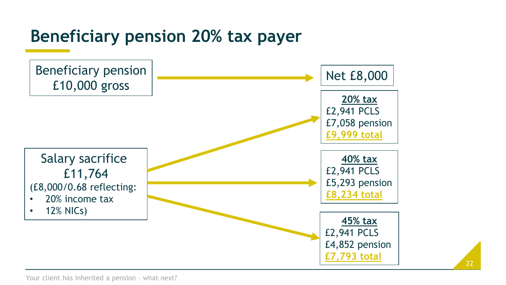## **Beneficiary pension 20% tax payer**

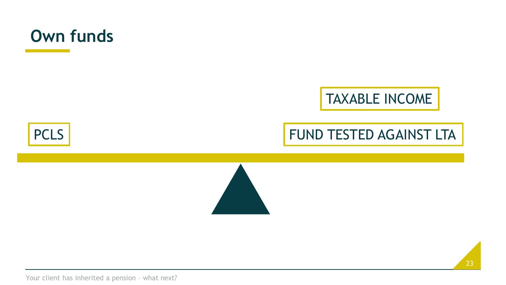

**PCLS** 



#### FUND TESTED AGAINST LTA

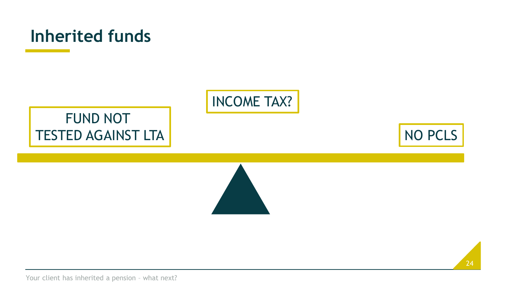



#### FUND NOT TESTED AGAINST LTA



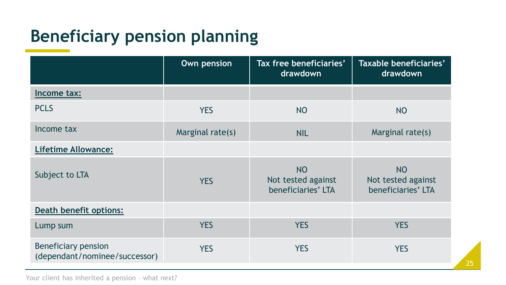# **Beneficiary pension planning**

|                                                      | Own pension      | Tax free beneficiaries'<br>drawdown                   | Taxable beneficiaries'<br>drawdown                    |
|------------------------------------------------------|------------------|-------------------------------------------------------|-------------------------------------------------------|
| Income tax:                                          |                  |                                                       |                                                       |
| <b>PCLS</b>                                          | <b>YES</b>       | NO                                                    | <b>NO</b>                                             |
| Income tax                                           | Marginal rate(s) | <b>NIL</b>                                            | Marginal rate(s)                                      |
| <b>Lifetime Allowance:</b>                           |                  |                                                       |                                                       |
| Subject to LTA                                       | <b>YES</b>       | <b>NO</b><br>Not tested against<br>beneficiaries' LTA | <b>NO</b><br>Not tested against<br>beneficiaries' LTA |
| <b>Death benefit options:</b>                        |                  |                                                       |                                                       |
| Lump sum                                             | <b>YES</b>       | <b>YES</b>                                            | <b>YES</b>                                            |
| Beneficiary pension<br>(dependant/nominee/successor) | <b>YES</b>       | <b>YES</b>                                            | <b>YES</b>                                            |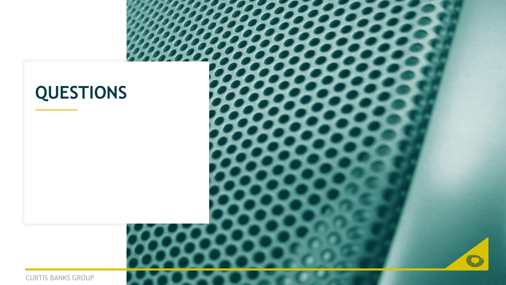